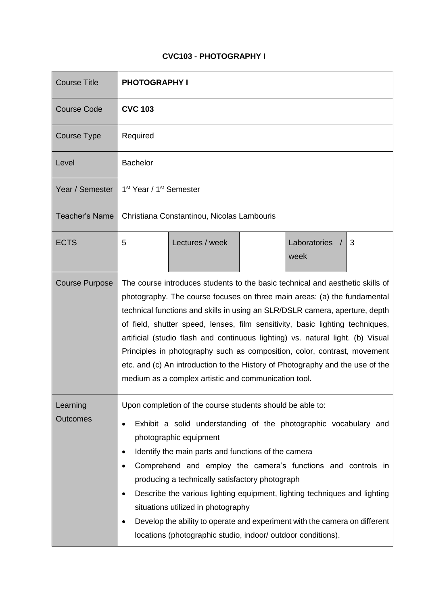## **CVC103 - PHOTOGRAPHY I**

| <b>Course Title</b>         | <b>PHOTOGRAPHY I</b>                                                                                                                                                                                                                                                                                                                                                                                                                                                                                                                                                                                                              |                 |  |                      |   |
|-----------------------------|-----------------------------------------------------------------------------------------------------------------------------------------------------------------------------------------------------------------------------------------------------------------------------------------------------------------------------------------------------------------------------------------------------------------------------------------------------------------------------------------------------------------------------------------------------------------------------------------------------------------------------------|-----------------|--|----------------------|---|
| <b>Course Code</b>          | <b>CVC 103</b>                                                                                                                                                                                                                                                                                                                                                                                                                                                                                                                                                                                                                    |                 |  |                      |   |
| Course Type                 | Required                                                                                                                                                                                                                                                                                                                                                                                                                                                                                                                                                                                                                          |                 |  |                      |   |
| Level                       | <b>Bachelor</b>                                                                                                                                                                                                                                                                                                                                                                                                                                                                                                                                                                                                                   |                 |  |                      |   |
| Year / Semester             | 1 <sup>st</sup> Year / 1 <sup>st</sup> Semester                                                                                                                                                                                                                                                                                                                                                                                                                                                                                                                                                                                   |                 |  |                      |   |
| <b>Teacher's Name</b>       | Christiana Constantinou, Nicolas Lambouris                                                                                                                                                                                                                                                                                                                                                                                                                                                                                                                                                                                        |                 |  |                      |   |
| <b>ECTS</b>                 | 5                                                                                                                                                                                                                                                                                                                                                                                                                                                                                                                                                                                                                                 | Lectures / week |  | Laboratories<br>week | 3 |
| <b>Course Purpose</b>       | The course introduces students to the basic technical and aesthetic skills of<br>photography. The course focuses on three main areas: (a) the fundamental<br>technical functions and skills in using an SLR/DSLR camera, aperture, depth<br>of field, shutter speed, lenses, film sensitivity, basic lighting techniques,<br>artificial (studio flash and continuous lighting) vs. natural light. (b) Visual<br>Principles in photography such as composition, color, contrast, movement<br>etc. and (c) An introduction to the History of Photography and the use of the<br>medium as a complex artistic and communication tool. |                 |  |                      |   |
| Learning<br><b>Outcomes</b> | Upon completion of the course students should be able to:<br>Exhibit a solid understanding of the photographic vocabulary and<br>$\bullet$<br>photographic equipment<br>Identify the main parts and functions of the camera<br>Comprehend and employ the camera's functions and controls in<br>producing a technically satisfactory photograph<br>Describe the various lighting equipment, lighting techniques and lighting<br>situations utilized in photography<br>Develop the ability to operate and experiment with the camera on different<br>locations (photographic studio, indoor/ outdoor conditions).                   |                 |  |                      |   |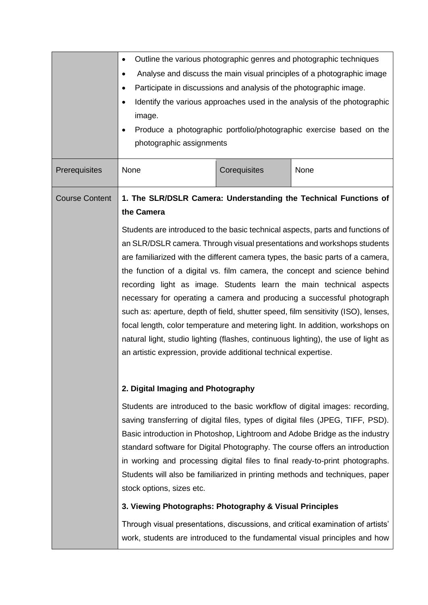|                       | Outline the various photographic genres and photographic techniques<br>٠<br>Analyse and discuss the main visual principles of a photographic image<br>٠<br>Participate in discussions and analysis of the photographic image.<br>٠<br>Identify the various approaches used in the analysis of the photographic<br>$\bullet$<br>image.<br>Produce a photographic portfolio/photographic exercise based on the<br>photographic assignments                                                                                                                                                                                                                                                                                                                                                                 |              |                                                                                                                                                                                                                                                                                                                                                                                                                                                                                               |  |  |
|-----------------------|----------------------------------------------------------------------------------------------------------------------------------------------------------------------------------------------------------------------------------------------------------------------------------------------------------------------------------------------------------------------------------------------------------------------------------------------------------------------------------------------------------------------------------------------------------------------------------------------------------------------------------------------------------------------------------------------------------------------------------------------------------------------------------------------------------|--------------|-----------------------------------------------------------------------------------------------------------------------------------------------------------------------------------------------------------------------------------------------------------------------------------------------------------------------------------------------------------------------------------------------------------------------------------------------------------------------------------------------|--|--|
| Prerequisites         | None                                                                                                                                                                                                                                                                                                                                                                                                                                                                                                                                                                                                                                                                                                                                                                                                     | Corequisites | None                                                                                                                                                                                                                                                                                                                                                                                                                                                                                          |  |  |
| <b>Course Content</b> | 1. The SLR/DSLR Camera: Understanding the Technical Functions of<br>the Camera                                                                                                                                                                                                                                                                                                                                                                                                                                                                                                                                                                                                                                                                                                                           |              |                                                                                                                                                                                                                                                                                                                                                                                                                                                                                               |  |  |
|                       | Students are introduced to the basic technical aspects, parts and functions of<br>an SLR/DSLR camera. Through visual presentations and workshops students<br>are familiarized with the different camera types, the basic parts of a camera,<br>the function of a digital vs. film camera, the concept and science behind<br>recording light as image. Students learn the main technical aspects<br>necessary for operating a camera and producing a successful photograph<br>such as: aperture, depth of field, shutter speed, film sensitivity (ISO), lenses,<br>focal length, color temperature and metering light. In addition, workshops on<br>natural light, studio lighting (flashes, continuous lighting), the use of light as<br>an artistic expression, provide additional technical expertise. |              |                                                                                                                                                                                                                                                                                                                                                                                                                                                                                               |  |  |
|                       | 2. Digital Imaging and Photography                                                                                                                                                                                                                                                                                                                                                                                                                                                                                                                                                                                                                                                                                                                                                                       |              |                                                                                                                                                                                                                                                                                                                                                                                                                                                                                               |  |  |
|                       | stock options, sizes etc.                                                                                                                                                                                                                                                                                                                                                                                                                                                                                                                                                                                                                                                                                                                                                                                |              | Students are introduced to the basic workflow of digital images: recording,<br>saving transferring of digital files, types of digital files (JPEG, TIFF, PSD).<br>Basic introduction in Photoshop, Lightroom and Adobe Bridge as the industry<br>standard software for Digital Photography. The course offers an introduction<br>in working and processing digital files to final ready-to-print photographs.<br>Students will also be familiarized in printing methods and techniques, paper |  |  |
|                       | 3. Viewing Photographs: Photography & Visual Principles                                                                                                                                                                                                                                                                                                                                                                                                                                                                                                                                                                                                                                                                                                                                                  |              |                                                                                                                                                                                                                                                                                                                                                                                                                                                                                               |  |  |
|                       |                                                                                                                                                                                                                                                                                                                                                                                                                                                                                                                                                                                                                                                                                                                                                                                                          |              | Through visual presentations, discussions, and critical examination of artists'<br>work, students are introduced to the fundamental visual principles and how                                                                                                                                                                                                                                                                                                                                 |  |  |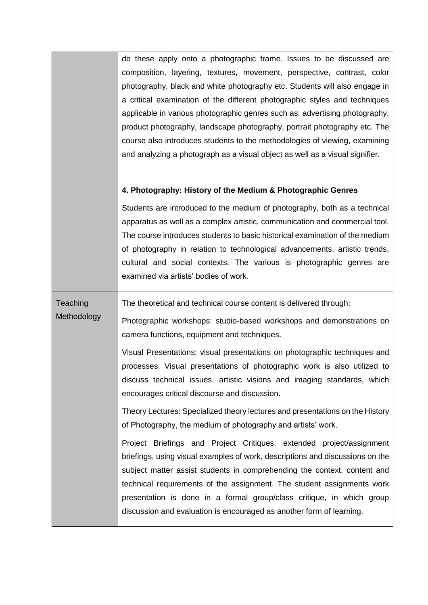| do these apply onto a photographic frame. Issues to be discussed are<br>composition, layering, textures, movement, perspective, contrast, color<br>photography, black and white photography etc. Students will also engage in<br>a critical examination of the different photographic styles and techniques<br>applicable in various photographic genres such as: advertising photography,<br>product photography, landscape photography, portrait photography etc. The<br>course also introduces students to the methodologies of viewing, examining<br>and analyzing a photograph as a visual object as well as a visual signifier. |
|---------------------------------------------------------------------------------------------------------------------------------------------------------------------------------------------------------------------------------------------------------------------------------------------------------------------------------------------------------------------------------------------------------------------------------------------------------------------------------------------------------------------------------------------------------------------------------------------------------------------------------------|
| 4. Photography: History of the Medium & Photographic Genres                                                                                                                                                                                                                                                                                                                                                                                                                                                                                                                                                                           |
| Students are introduced to the medium of photography, both as a technical<br>apparatus as well as a complex artistic, communication and commercial tool.<br>The course introduces students to basic historical examination of the medium<br>of photography in relation to technological advancements, artistic trends,<br>cultural and social contexts. The various is photographic genres are<br>examined via artists' bodies of work.                                                                                                                                                                                               |
| The theoretical and technical course content is delivered through:                                                                                                                                                                                                                                                                                                                                                                                                                                                                                                                                                                    |
| Photographic workshops: studio-based workshops and demonstrations on<br>camera functions, equipment and techniques.                                                                                                                                                                                                                                                                                                                                                                                                                                                                                                                   |
| Visual Presentations: visual presentations on photographic techniques and<br>processes. Visual presentations of photographic work is also utilized to<br>discuss technical issues, artistic visions and imaging standards, which<br>encourages critical discourse and discussion.                                                                                                                                                                                                                                                                                                                                                     |
| Theory Lectures: Specialized theory lectures and presentations on the History<br>of Photography, the medium of photography and artists' work.                                                                                                                                                                                                                                                                                                                                                                                                                                                                                         |
| Project Briefings and Project Critiques: extended project/assignment<br>briefings, using visual examples of work, descriptions and discussions on the<br>subject matter assist students in comprehending the context, content and<br>technical requirements of the assignment. The student assignments work<br>presentation is done in a formal group/class critique, in which group<br>discussion and evaluation is encouraged as another form of learning.                                                                                                                                                                          |
|                                                                                                                                                                                                                                                                                                                                                                                                                                                                                                                                                                                                                                       |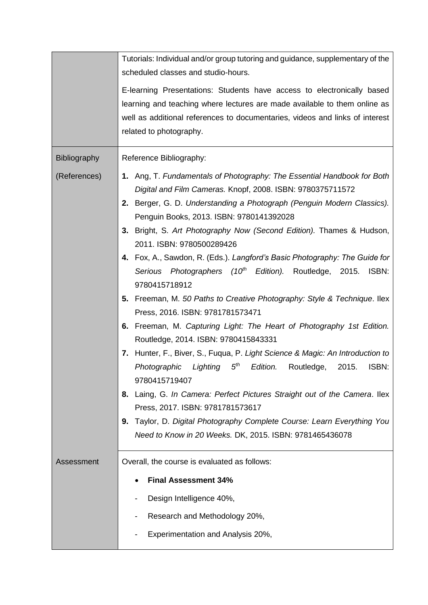|                     | Tutorials: Individual and/or group tutoring and guidance, supplementary of the<br>scheduled classes and studio-hours.                                                                                                                                                                                                                                                                                                                                                                                                                                                                                                                                                                                                                                                                                                                                                                                                                                                                                                                                                                                                                                                          |
|---------------------|--------------------------------------------------------------------------------------------------------------------------------------------------------------------------------------------------------------------------------------------------------------------------------------------------------------------------------------------------------------------------------------------------------------------------------------------------------------------------------------------------------------------------------------------------------------------------------------------------------------------------------------------------------------------------------------------------------------------------------------------------------------------------------------------------------------------------------------------------------------------------------------------------------------------------------------------------------------------------------------------------------------------------------------------------------------------------------------------------------------------------------------------------------------------------------|
|                     | E-learning Presentations: Students have access to electronically based<br>learning and teaching where lectures are made available to them online as<br>well as additional references to documentaries, videos and links of interest<br>related to photography.                                                                                                                                                                                                                                                                                                                                                                                                                                                                                                                                                                                                                                                                                                                                                                                                                                                                                                                 |
| <b>Bibliography</b> | Reference Bibliography:                                                                                                                                                                                                                                                                                                                                                                                                                                                                                                                                                                                                                                                                                                                                                                                                                                                                                                                                                                                                                                                                                                                                                        |
| (References)        | 1. Ang, T. Fundamentals of Photography: The Essential Handbook for Both<br>Digital and Film Cameras. Knopf, 2008. ISBN: 9780375711572<br>2. Berger, G. D. Understanding a Photograph (Penguin Modern Classics).<br>Penguin Books, 2013. ISBN: 9780141392028<br>3. Bright, S. Art Photography Now (Second Edition). Thames & Hudson,<br>2011. ISBN: 9780500289426<br>4. Fox, A., Sawdon, R. (Eds.). Langford's Basic Photography: The Guide for<br>Serious Photographers (10 <sup>th</sup> Edition). Routledge, 2015. ISBN:<br>9780415718912<br>5. Freeman, M. 50 Paths to Creative Photography: Style & Technique. Ilex<br>Press, 2016. ISBN: 9781781573471<br>6. Freeman, M. Capturing Light: The Heart of Photography 1st Edition.<br>Routledge, 2014. ISBN: 9780415843331<br>Hunter, F., Biver, S., Fuqua, P. Light Science & Magic: An Introduction to<br>7.<br>5 <sup>th</sup><br>Photographic<br>Lighting<br>Edition.<br>Routledge,<br>2015.<br>ISBN:<br>9780415719407<br>Laing, G. In Camera: Perfect Pictures Straight out of the Camera. Ilex<br>8.<br>Press, 2017. ISBN: 9781781573617<br>Taylor, D. Digital Photography Complete Course: Learn Everything You<br>9. |
|                     | Need to Know in 20 Weeks. DK, 2015. ISBN: 9781465436078                                                                                                                                                                                                                                                                                                                                                                                                                                                                                                                                                                                                                                                                                                                                                                                                                                                                                                                                                                                                                                                                                                                        |
| Assessment          | Overall, the course is evaluated as follows:<br><b>Final Assessment 34%</b><br>Design Intelligence 40%,<br>Research and Methodology 20%,<br>Experimentation and Analysis 20%,                                                                                                                                                                                                                                                                                                                                                                                                                                                                                                                                                                                                                                                                                                                                                                                                                                                                                                                                                                                                  |